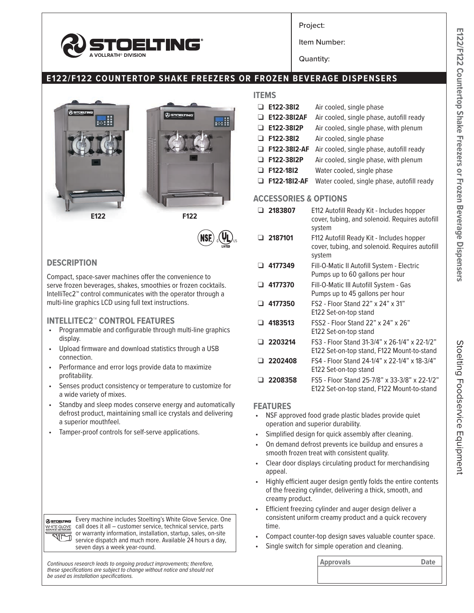

Project:

Item Number:

Quantity:

# **E122/F122 COUNTERTOP SHAKE FREEZERS OR FROZEN BEVERAGE DISPENSERS**



### **DESCRIPTION**

Compact, space-saver machines offer the convenience to serve frozen beverages, shakes, smoothies or frozen cocktails. IntelliTec2™ control communicates with the operator through a multi-line graphics LCD using full text instructions.

### **INTELLITEC2™ CONTROL FEATURES**

- Programmable and configurable through multi-line graphics display.
- Upload firmware and download statistics through a USB connection.
- Performance and error logs provide data to maximize profitability.
- Senses product consistency or temperature to customize for a wide variety of mixes.
- Standby and sleep modes conserve energy and automatically defrost product, maintaining small ice crystals and delivering a superior mouthfeel.
- Tamper-proof controls for self-serve applications.

Every machine includes Stoelting's White Glove Service. One **@STOELTING** WHITE GLOVE call does it all – customer service, technical service, parts or warranty information, installation, startup, sales, on-site service dispatch and much more. Available 24 hours a day, seven days a week year-round.

**Continuous research leads to ongoing product improvements; therefore, <b>Approvals Approvals Approvals Date** *these specifications are subject to change without notice and should not be used as installation specifications.*

## **ITEMS**

| $\Box$ E122-3812    | Air cooled, single phase                   |
|---------------------|--------------------------------------------|
| $\Box$ E122-3812AF  | Air cooled, single phase, autofill ready   |
| $\Box$ E122-3812P   | Air cooled, single phase, with plenum      |
| $\Box$ F122-3812    | Air cooled, single phase                   |
| $\Box$ F122-3812-AF | Air cooled, single phase, autofill ready   |
| <b>E122-3812P</b>   | Air cooled, single phase, with plenum      |
| $\Box$ F122-1812    | Water cooled, single phase                 |
| F122-1812-AF        | Water cooled, single phase, autofill ready |

#### **ACCESSORIES & OPTIONS**

|    | □ 2183807 | E112 Autofill Ready Kit - Includes hopper<br>cover, tubing, and solenoid. Requires autofill<br>system |
|----|-----------|-------------------------------------------------------------------------------------------------------|
|    | □ 2187101 | F112 Autofill Ready Kit - Includes hopper<br>cover, tubing, and solenoid. Requires autofill<br>system |
|    | 4177349   | Fill-O-Matic II Autofill System - Electric<br>Pumps up to 60 gallons per hour                         |
|    | 4177370   | Fill-O-Matic III Autofill System - Gas<br>Pumps up to 45 gallons per hour                             |
|    | 4177350   | FS2 - Floor Stand 22" x 24" x 31"<br>E122 Set-on-top stand                                            |
| -1 | 4183513   | FSS2 - Floor Stand 22" x 24" x 26"<br>E122 Set-on-top stand                                           |
|    | 2203214   | FS3 - Floor Stand 31-3/4" x 26-1/4" x 22-1/2"<br>E122 Set-on-top stand, F122 Mount-to-stand           |
|    | 2202408   | FS4 - Floor Stand 24-1/4" x 22-1/4" x 18-3/4"<br>E122 Set-on-top stand                                |
|    | 2208358   | FS5 - Floor Stand 25-7/8" x 33-3/8" x 22-1/2"<br>E122 Set-on-top stand, F122 Mount-to-stand           |

#### **FEATURES**

- NSF approved food grade plastic blades provide quiet operation and superior durability.
- Simplified design for quick assembly after cleaning.
- On demand defrost prevents ice buildup and ensures a smooth frozen treat with consistent quality.
- Clear door displays circulating product for merchandising appeal.
- Highly efficient auger design gently folds the entire contents of the freezing cylinder, delivering a thick, smooth, and creamy product.
- Efficient freezing cylinder and auger design deliver a consistent uniform creamy product and a quick recovery time.
- Compact counter-top design saves valuable counter space.
- Single switch for simple operation and cleaning.